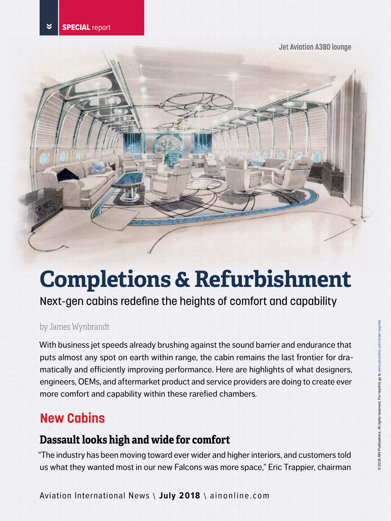**Jet Aviation A380 lounge**



# **Completions & Refurbishment**

Next-gen cabins redefine the heights of comfort and capability

#### by James Wynbrandt

With business jet speeds already brushing against the sound barrier and endurance that puts almost any spot on earth within range, the cabin remains the last frontier for dramatically and efficiently improving performance. Here are highlights of what designers, engineers, OEMs, and aftermarket product and service providers are doing to create ever more comfort and capability within these rarefied chambers.

# **New Cabins**

# **Dassault looks high and wide for comfort**

"The industry has been moving toward ever wider and higher interiors, and customers told us what they wanted most in our new Falcons was more space," Eric Trappier, chairman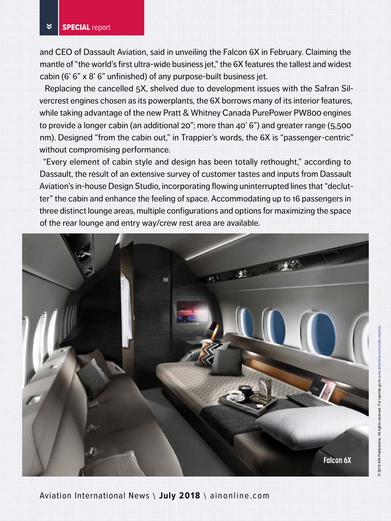and CEO of Dassault Aviation, said in unveiling the Falcon 6X in February. Claiming the mantle of "the world's first ultra-wide business jet," the 6X features the tallest and widest cabin (6' 6" x 8' 6" unfinished) of any purpose-built business jet.

Replacing the cancelled 5X, shelved due to development issues with the Safran Silvercrest engines chosen as its powerplants, the 6X borrows many of its interior features, while taking advantage of the new Pratt & Whitney Canada PurePower PW800 engines to provide a longer cabin (an additional 20"; more than 40' 6") and greater range (5,500 nm). Designed "from the cabin out," in Trappier's words, the 6X is "passenger-centric" without compromising performance.

"Every element of cabin style and design has been totally rethought," according to Dassault, the result of an extensive survey of customer tastes and inputs from Dassault Aviation's in-house Design Studio, incorporating flowing uninterrupted lines that "declutter" the cabin and enhance the feeling of space. Accommodating up to 16 passengers in three distinct lounge areas, multiple configurations and options for maximizing the space of the rear lounge and entry way/crew rest area are available.

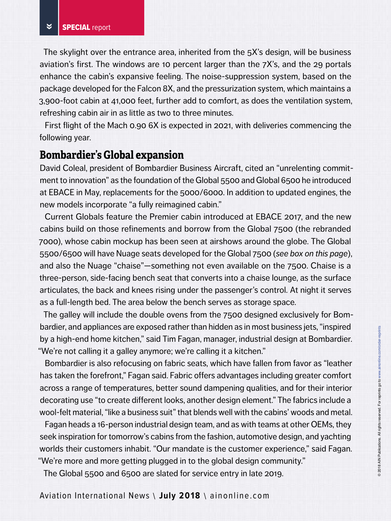The skylight over the entrance area, inherited from the 5X's design, will be business aviation's first. The windows are 10 percent larger than the 7X's, and the 29 portals enhance the cabin's expansive feeling. The noise-suppression system, based on the package developed for the Falcon 8X, and the pressurization system, which maintains a 3,900-foot cabin at 41,000 feet, further add to comfort, as does the ventilation system, refreshing cabin air in as little as two to three minutes.

First flight of the Mach 0.90 6X is expected in 2021, with deliveries commencing the following year.

#### **Bombardier's Global expansion**

David Coleal, president of Bombardier Business Aircraft, cited an "unrelenting commitment to innovation" as the foundation of the Global 5500 and Global 6500 he introduced at EBACE in May, replacements for the 5000/6000. In addition to updated engines, the new models incorporate "a fully reimagined cabin."

Current Globals feature the Premier cabin introduced at EBACE 2017, and the new cabins build on those refinements and borrow from the Global 7500 (the rebranded 7000), whose cabin mockup has been seen at airshows around the globe. The Global 5500/6500 will have Nuage seats developed for the Global 7500 (*see box on this page*), and also the Nuage "chaise"—something not even available on the 7500. Chaise is a three-person, side-facing bench seat that converts into a chaise lounge, as the surface articulates, the back and knees rising under the passenger's control. At night it serves as a full-length bed. The area below the bench serves as storage space.

The galley will include the double ovens from the 7500 designed exclusively for Bombardier, and appliances are exposed rather than hidden as in most business jets, "inspired by a high-end home kitchen," said Tim Fagan, manager, industrial design at Bombardier. "We're not calling it a galley anymore; we're calling it a kitchen."

Bombardier is also refocusing on fabric seats, which have fallen from favor as "leather has taken the forefront," Fagan said. Fabric offers advantages including greater comfort across a range of temperatures, better sound dampening qualities, and for their interior decorating use "to create different looks, another design element." The fabrics include a wool-felt material, "like a business suit" that blends well with the cabins' woods and metal.

Fagan heads a 16-person industrial design team, and as with teams at other OEMs, they seek inspiration for tomorrow's cabins from the fashion, automotive design, and yachting worlds their customers inhabit. "Our mandate is the customer experience," said Fagan. "We're more and more getting plugged in to the global design community."

The Global 5500 and 6500 are slated for service entry in late 2019.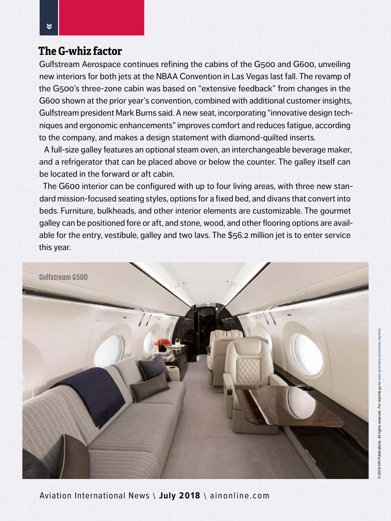#### **The G-whiz factor**

Gulfstream Aerospace continues refining the cabins of the G500 and G600, unveiling new interiors for both jets at the NBAA Convention in Las Vegas last fall. The revamp of the G500's three-zone cabin was based on "extensive feedback" from changes in the G600 shown at the prior year's convention, combined with additional customer insights, Gulfstream president Mark Burns said. A new seat, incorporating "innovative design techniques and ergonomic enhancements" improves comfort and reduces fatigue, according to the company, and makes a design statement with diamond-quilted inserts.

A full-size galley features an optional steam oven, an interchangeable beverage maker, and a refrigerator that can be placed above or below the counter. The galley itself can be located in the forward or aft cabin.

The G600 interior can be configured with up to four living areas, with three new standard mission-focused seating styles, options for a fixed bed, and divans that convert into beds. Furniture, bulkheads, and other interior elements are customizable. The gourmet galley can be positioned fore or aft, and stone, wood, and other flooring options are available for the entry, vestibule, galley and two lavs. The \$56.2 million jet is to enter service this year.

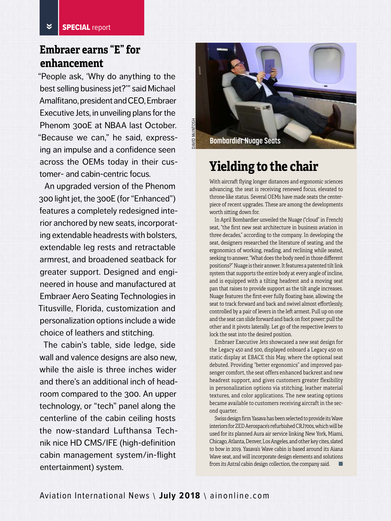## **Embraer earns "E" for enhancement**

"People ask, 'Why do anything to the best selling business jet?'" said Michael Amalfitano, president and CEO, Embraer Executive Jets, in unveiling plans for the Phenom 300E at NBAA last October. "Because we can," he said, expressing an impulse and a confidence seen across the OEMs today in their customer- and cabin-centric focus.

An upgraded version of the Phenom 300 light jet, the 300E (for "Enhanced") features a completely redesigned interior anchored by new seats, incorporating extendable headrests with bolsters, extendable leg rests and retractable armrest, and broadened seatback for greater support. Designed and engineered in house and manufactured at Embraer Aero Seating Technologies in Titusville, Florida, customization and personalization options include a wide choice of leathers and stitching.

The cabin's table, side ledge, side wall and valence designs are also new, while the aisle is three inches wider and there's an additional inch of headroom compared to the 300. An upper technology, or "tech" panel along the centerline of the cabin ceiling hosts the now-standard Lufthansa Technik nice HD CMS/IFE (high-definition cabin management system/in-flight entertainment) system.



# **Yielding to the chair**

With aircraft flying longer distances and ergonomic sciences advancing, the seat is receiving renewed focus, elevated to throne-like status. Several OEMs have made seats the centerpiece of recent upgrades. These are among the developments worth sitting down for.

In April Bombardier unveiled the Nuage ("cloud" in French) seat, "the first new seat architecture in business aviation in three decades," according to the company. In developing the seat, designers researched the literature of seating, and the ergonomics of working, reading, and reclining while seated, seeking to answer, "What does the body need in those different positions?" Nuage is their answer. It features a patented tilt link system that supports the entire body at every angle of incline, and is equipped with a tilting headrest and a moving seat pan that raises to provide support as the tilt angle increases. Nuage features the first-ever fully floating base, allowing the seat to track forward and back and swivel almost effortlessly, controlled by a pair of levers in the left armest. Pull up on one and the seat can slide forward and back on foot power; pull the other and it pivots laterally. Let go of the respective levers to lock the seat into the desired position.

Embraer Executive Jets showcased a new seat design for the Legacy 450 and 500, displayed onboard a Legacy 450 on static display at EBACE this May, where the optional seat debuted. Providing "better ergonomics" and improved passenger comfort, the seat offers enhanced backrest and new headrest support, and gives customers greater flexibility in personalization options via stitching, leather material textures, and color applications. The new seating options became available to customers receiving aircraft in the second quarter.

Swiss design firm Yasava has been selected to provide its Wave interiors for ZED Aerospace's refurbished CRJ700s, which will be used for its planned Aura air service linking New York, Miami, Chicago, Atlanta, Denver, Los Angeles, and other key cites, slated to bow in 2019. Yasava's Wave cabin is based around its Aiana Wave seat, and will incorporate design elements and solutions from its Astral cabin design collection, the company said.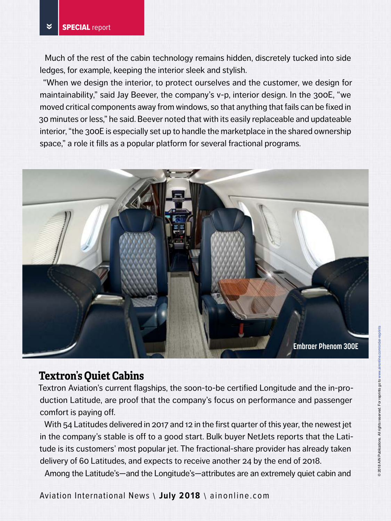Much of the rest of the cabin technology remains hidden, discretely tucked into side ledges, for example, keeping the interior sleek and stylish.

"When we design the interior, to protect ourselves and the customer, we design for maintainability," said Jay Beever, the company's v-p, interior design. In the 300E, "we moved critical components away from windows, so that anything that fails can be fixed in 30 minutes or less," he said. Beever noted that with its easily replaceable and updateable interior, "the 300E is especially set up to handle the marketplace in the shared ownership space," a role it fills as a popular platform for several fractional programs.



#### **Textron's Quiet Cabins**

Textron Aviation's current flagships, the soon-to-be certified Longitude and the in-production Latitude, are proof that the company's focus on performance and passenger comfort is paying off.

With 54 Latitudes delivered in 2017 and 12 in the first quarter of this year, the newest jet in the company's stable is off to a good start. Bulk buyer NetJets reports that the Latitude is its customers' most popular jet. The fractional-share provider has already taken delivery of 60 Latitudes, and expects to receive another 24 by the end of 2018.

Among the Latitude's—and the Longitude's—attributes are an extremely quiet cabin and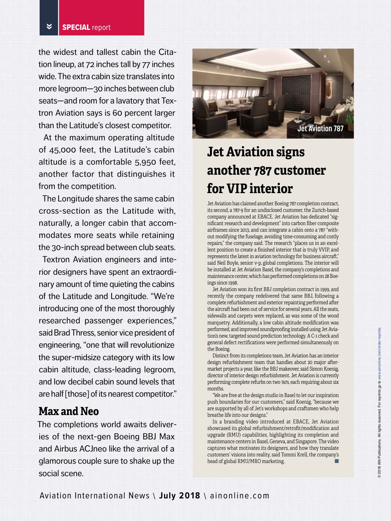the widest and tallest cabin the Citation lineup, at 72 inches tall by 77 inches wide. The extra cabin size translates into more legroom—30 inches between club seats—and room for a lavatory that Textron Aviation says is 60 percent larger than the Latitude's closest competitor.

At the maximum operating altitude of 45,000 feet, the Latitude's cabin altitude is a comfortable 5,950 feet, another factor that distinguishes it from the competition.

The Longitude shares the same cabin cross-section as the Latitude with, naturally, a longer cabin that accommodates more seats while retaining the 30-inch spread between club seats.

Textron Aviation engineers and interior designers have spent an extraordinary amount of time quieting the cabins of the Latitude and Longitude. "We're introducing one of the most thoroughly researched passenger experiences," said Brad Thress, senior vice president of engineering, "one that will revolutionize the super-midsize category with its low cabin altitude, class-leading legroom, and low decibel cabin sound levels that are half [those] of its nearest competitor."

#### **Max and Neo**

The completions world awaits deliveries of the next-gen Boeing BBJ Max and Airbus ACJneo like the arrival of a glamorous couple sure to shake up the social scene.



# **Jet Aviation signs another 787 customer for VIP interior**

Jet Aviation has claimed another Boeing 787 completion contract, its second, a 787-9 for an undisclosed customer, the Zurich-based company announced at EBACE. Jet Aviation has dedicated "significant research and development" into carbon fiber composite airframes since 2013, and can integrate a cabin onto a 787 "without modifying the fuselage, avoiding time-consuming and costly repairs," the company said. The research "places us in an excellent position to create a finished interior that is truly VVIP, and represents the latest in aviation technology for business aircraft," said Neil Boyle, senior v-p, global completions. The interior will be installed at Jet Aviation Basel, the company's completions and maintenance center, which has performed completions on 28 Boeings since 1998.

Jet Aviation won its first BBJ completion contract in 1999, and recently the company redelivered that same BBJ, following a complete refurbishment and exterior repainting performed after the aircraft had been out of service for several years. All the seats, sidewalls and carpets were replaced, as was some of the wood marquetry. Additionally, a low cabin altitude modification was performed, and improved soundproofing installed using Jet Aviation's new, targeted sound prediction technology. A C-1 check and general defect rectifications were performed simultaneously on the Boeing.

Distinct from its completions team, Jet Aviation has an interior design refurbishment team that handles about 20 major aftermarket projects a year, like the BBJ makeover, said Simon Koenig, director of interior design refurbishment. Jet Aviation is currently performing complete refurbs on two 747s, each requiring about six months.

"We are free at the design studio in Basel to let our inspiration push boundaries for our customers," said Koenig, "because we are supported by all of Jet's workshops and craftsmen who help breathe life into our designs."

In a branding video introduced at EBACE, Jet Aviation showcased its global refurbishment/retrofit/modification and upgrade (RMU) capabilities, highlighting its completion and maintenance centers in Basel, Geneva, and Singapore. The video captures what motivates its designers, and how they translate customers' visions into reality, said Tommi Krell, the company's head of global RMU/MRO marketing.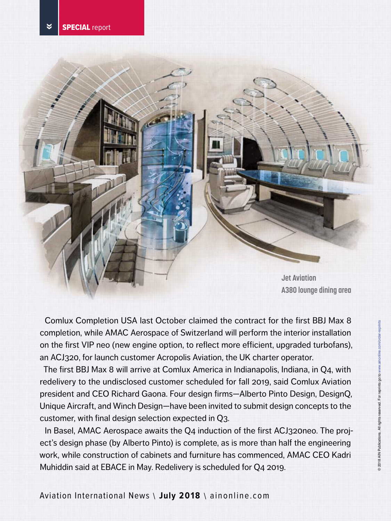

Comlux Completion USA last October claimed the contract for the first BBJ Max 8 completion, while AMAC Aerospace of Switzerland will perform the interior installation on the first VIP neo (new engine option, to reflect more efficient, upgraded turbofans), an ACJ320, for launch customer Acropolis Aviation, the UK charter operator.

The first BBJ Max 8 will arrive at Comlux America in Indianapolis, Indiana, in Q4, with redelivery to the undisclosed customer scheduled for fall 2019, said Comlux Aviation president and CEO Richard Gaona. Four design firms—Alberto Pinto Design, DesignQ, Unique Aircraft, and Winch Design—have been invited to submit design concepts to the customer, with final design selection expected in Q3.

In Basel, AMAC Aerospace awaits the Q4 induction of the first ACJ320neo. The project's design phase (by Alberto Pinto) is complete, as is more than half the engineering work, while construction of cabinets and furniture has commenced, AMAC CEO Kadri Muhiddin said at EBACE in May. Redelivery is scheduled for Q4 2019.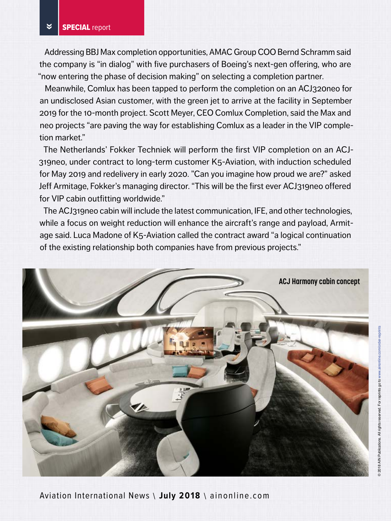Addressing BBJ Max completion opportunities, AMAC Group COO Bernd Schramm said the company is "in dialog" with five purchasers of Boeing's next-gen offering, who are "now entering the phase of decision making" on selecting a completion partner.

Meanwhile, Comlux has been tapped to perform the completion on an ACJ320neo for an undisclosed Asian customer, with the green jet to arrive at the facility in September 2019 for the 10-month project. Scott Meyer, CEO Comlux Completion, said the Max and neo projects "are paving the way for establishing Comlux as a leader in the VIP completion market."

The Netherlands' Fokker Techniek will perform the first VIP completion on an ACJ-319neo, under contract to long-term customer K5-Aviation, with induction scheduled for May 2019 and redelivery in early 2020. "Can you imagine how proud we are?" asked Jeff Armitage, Fokker's managing director. "This will be the first ever ACJ319neo offered for VIP cabin outfitting worldwide."

The ACJ319neo cabin will include the latest communication, IFE, and other technologies, while a focus on weight reduction will enhance the aircraft's range and payload, Armitage said. Luca Madone of K5-Aviation called the contract award "a logical continuation of the existing relationship both companies have from previous projects."

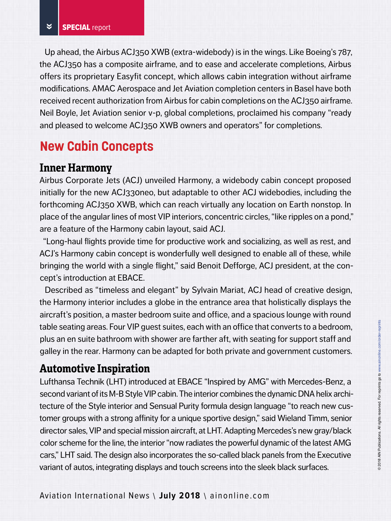Up ahead, the Airbus ACJ350 XWB (extra-widebody) is in the wings. Like Boeing's 787, the ACJ350 has a composite airframe, and to ease and accelerate completions, Airbus offers its proprietary Easyfit concept, which allows cabin integration without airframe modifications. AMAC Aerospace and Jet Aviation completion centers in Basel have both received recent authorization from Airbus for cabin completions on the ACJ350 airframe. Neil Boyle, Jet Aviation senior v-p, global completions, proclaimed his company "ready and pleased to welcome ACJ350 XWB owners and operators" for completions.

# **New Cabin Concepts**

#### **Inner Harmony**

Airbus Corporate Jets (ACJ) unveiled Harmony, a widebody cabin concept proposed initially for the new ACJ330neo, but adaptable to other ACJ widebodies, including the forthcoming ACJ350 XWB, which can reach virtually any location on Earth nonstop. In place of the angular lines of most VIP interiors, concentric circles, "like ripples on a pond," are a feature of the Harmony cabin layout, said ACJ.

"Long-haul flights provide time for productive work and socializing, as well as rest, and ACJ's Harmony cabin concept is wonderfully well designed to enable all of these, while bringing the world with a single flight," said Benoit Defforge, ACJ president, at the concept's introduction at EBACE.

Described as "timeless and elegant" by Sylvain Mariat, ACJ head of creative design, the Harmony interior includes a globe in the entrance area that holistically displays the aircraft's position, a master bedroom suite and office, and a spacious lounge with round table seating areas. Four VIP guest suites, each with an office that converts to a bedroom, plus an en suite bathroom with shower are farther aft, with seating for support staff and galley in the rear. Harmony can be adapted for both private and government customers.

### **Automotive Inspiration**

Lufthansa Technik (LHT) introduced at EBACE "Inspired by AMG" with Mercedes-Benz, a second variant of its M-B Style VIP cabin. The interior combines the dynamic DNA helix architecture of the Style interior and Sensual Purity formula design language "to reach new customer groups with a strong affinity for a unique sportive design," said Wieland Timm, senior director sales, VIP and special mission aircraft, at LHT. Adapting Mercedes's new gray/black color scheme for the line, the interior "now radiates the powerful dynamic of the latest AMG cars," LHT said. The design also incorporates the so-called black panels from the Executive variant of autos, integrating displays and touch screens into the sleek black surfaces.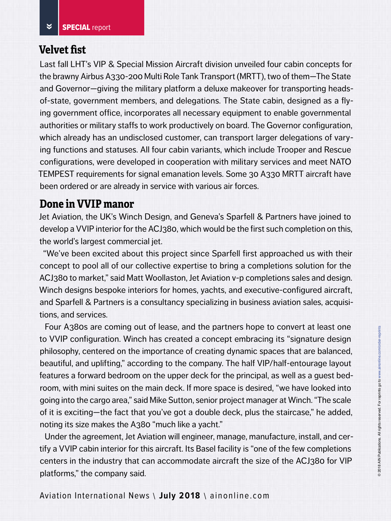#### **Velvet fist**

Last fall LHT's VIP & Special Mission Aircraft division unveiled four cabin concepts for the brawny Airbus A330-200 Multi Role Tank Transport (MRTT), two of them—The State and Governor—giving the military platform a deluxe makeover for transporting headsof-state, government members, and delegations. The State cabin, designed as a flying government office, incorporates all necessary equipment to enable governmental authorities or military staffs to work productively on board. The Governor configuration, which already has an undisclosed customer, can transport larger delegations of varying functions and statuses. All four cabin variants, which include Trooper and Rescue configurations, were developed in cooperation with military services and meet NATO TEMPEST requirements for signal emanation levels. Some 30 A330 MRTT aircraft have been ordered or are already in service with various air forces.

#### **Done in VVIP manor**

Jet Aviation, the UK's Winch Design, and Geneva's Sparfell & Partners have joined to develop a VVIP interior for the ACJ380, which would be the first such completion on this, the world's largest commercial jet.

"We've been excited about this project since Sparfell first approached us with their concept to pool all of our collective expertise to bring a completions solution for the ACJ380 to market," said Matt Woollaston, Jet Aviation v-p completions sales and design. Winch designs bespoke interiors for homes, yachts, and executive-configured aircraft, and Sparfell & Partners is a consultancy specializing in business aviation sales, acquisitions, and services.

Four A380s are coming out of lease, and the partners hope to convert at least one to VVIP configuration. Winch has created a concept embracing its "signature design philosophy, centered on the importance of creating dynamic spaces that are balanced, beautiful, and uplifting," according to the company. The half VIP/half-entourage layout features a forward bedroom on the upper deck for the principal, as well as a guest bedroom, with mini suites on the main deck. If more space is desired, "we have looked into going into the cargo area," said Mike Sutton, senior project manager at Winch. "The scale of it is exciting—the fact that you've got a double deck, plus the staircase," he added, noting its size makes the A380 "much like a yacht."

Under the agreement, Jet Aviation will engineer, manage, manufacture, install, and certify a VVIP cabin interior for this aircraft. Its Basel facility is "one of the few completions centers in the industry that can accommodate aircraft the size of the ACJ380 for VIP platforms," the company said.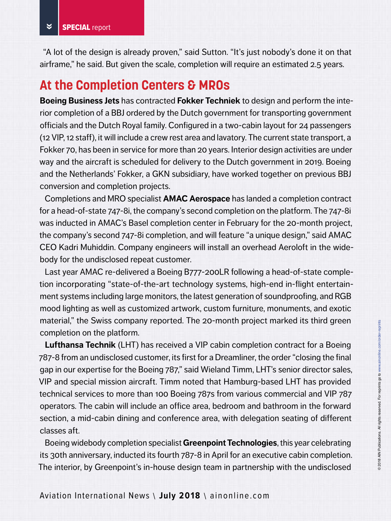"A lot of the design is already proven," said Sutton. "It's just nobody's done it on that airframe," he said. But given the scale, completion will require an estimated 2.5 years.

# **At the Completion Centers & MROs**

**Boeing Business Jets** has contracted **Fokker Techniek** to design and perform the interior completion of a BBJ ordered by the Dutch government for transporting government officials and the Dutch Royal family. Configured in a two-cabin layout for 24 passengers (12 VIP, 12 staff), it will include a crew rest area and lavatory. The current state transport, a Fokker 70, has been in service for more than 20 years. Interior design activities are under way and the aircraft is scheduled for delivery to the Dutch government in 2019. Boeing and the Netherlands' Fokker, a GKN subsidiary, have worked together on previous BBJ conversion and completion projects.

Completions and MRO specialist **AMAC Aerospace** has landed a completion contract for a head-of-state 747-8i, the company's second completion on the platform. The 747-8i was inducted in AMAC's Basel completion center in February for the 20-month project, the company's second 747-8i completion, and will feature "a unique design," said AMAC CEO Kadri Muhiddin. Company engineers will install an overhead Aeroloft in the widebody for the undisclosed repeat customer.

Last year AMAC re-delivered a Boeing B777-200LR following a head-of-state completion incorporating "state-of-the-art technology systems, high-end in-flight entertainment systems including large monitors, the latest generation of soundproofing, and RGB mood lighting as well as customized artwork, custom furniture, monuments, and exotic material," the Swiss company reported. The 20-month project marked its third green completion on the platform.

**Lufthansa Technik** (LHT) has received a VIP cabin completion contract for a Boeing 787-8 from an undisclosed customer, its first for a Dreamliner, the order "closing the final gap in our expertise for the Boeing 787," said Wieland Timm, LHT's senior director sales, VIP and special mission aircraft. Timm noted that Hamburg-based LHT has provided technical services to more than 100 Boeing 787s from various commercial and VIP 787 operators. The cabin will include an office area, bedroom and bathroom in the forward section, a mid-cabin dining and conference area, with delegation seating of different classes aft.

Boeing widebody completion specialist **Greenpoint Technologies**, this year celebrating its 30th anniversary, inducted its fourth 787-8 in April for an executive cabin completion. The interior, by Greenpoint's in-house design team in partnership with the undisclosed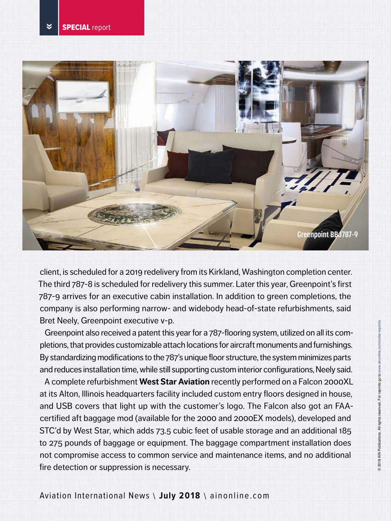

client, is scheduled for a 2019 redelivery from its Kirkland, Washington completion center. The third 787-8 is scheduled for redelivery this summer. Later this year, Greenpoint's first 787-9 arrives for an executive cabin installation. In addition to green completions, the company is also performing narrow- and widebody head-of-state refurbishments, said Bret Neely, Greenpoint executive v-p.

Greenpoint also received a patent this year for a 787-flooring system, utilized on all its completions, that provides customizable attach locations for aircraft monuments and furnishings. By standardizing modifications to the 787's unique floor structure, the system minimizes parts and reduces installation time, while still supporting custom interior configurations, Neely said.

A complete refurbishment **West Star Aviation** recently performed on a Falcon 2000XL at its Alton, Illinois headquarters facility included custom entry floors designed in house, and USB covers that light up with the customer's logo. The Falcon also got an FAAcertified aft baggage mod (available for the 2000 and 2000EX models), developed and STC'd by West Star, which adds 73.5 cubic feet of usable storage and an additional 185 to 275 pounds of baggage or equipment. The baggage compartment installation does not compromise access to common service and maintenance items, and no additional fire detection or suppression is necessary.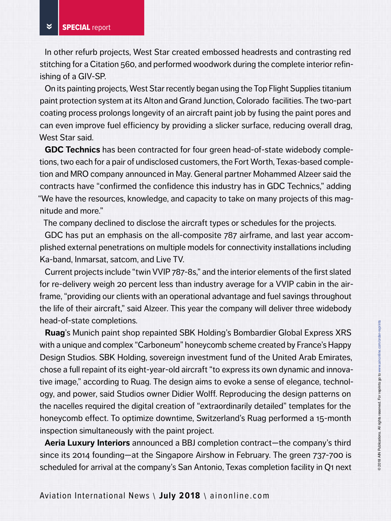In other refurb projects, West Star created embossed headrests and contrasting red stitching for a Citation 560, and performed woodwork during the complete interior refinishing of a GIV-SP.

On its painting projects, West Star recently began using the Top Flight Supplies titanium paint protection system at its Alton and Grand Junction, Colorado facilities. The two-part coating process prolongs longevity of an aircraft paint job by fusing the paint pores and can even improve fuel efficiency by providing a slicker surface, reducing overall drag, West Star said.

**GDC Technics** has been contracted for four green head-of-state widebody completions, two each for a pair of undisclosed customers, the Fort Worth, Texas-based completion and MRO company announced in May. General partner Mohammed Alzeer said the contracts have "confirmed the confidence this industry has in GDC Technics," adding "We have the resources, knowledge, and capacity to take on many projects of this magnitude and more."

The company declined to disclose the aircraft types or schedules for the projects.

GDC has put an emphasis on the all-composite 787 airframe, and last year accomplished external penetrations on multiple models for connectivity installations including Ka-band, Inmarsat, satcom, and Live TV.

Current projects include "twin VVIP 787-8s," and the interior elements of the first slated for re-delivery weigh 20 percent less than industry average for a VVIP cabin in the airframe, "providing our clients with an operational advantage and fuel savings throughout the life of their aircraft," said Alzeer. This year the company will deliver three widebody head-of-state completions.

**Ruag**'s Munich paint shop repainted SBK Holding's Bombardier Global Express XRS with a unique and complex "Carboneum" honeycomb scheme created by France's Happy Design Studios. SBK Holding, sovereign investment fund of the United Arab Emirates, chose a full repaint of its eight-year-old aircraft "to express its own dynamic and innovative image," according to Ruag. The design aims to evoke a sense of elegance, technology, and power, said Studios owner Didier Wolff. Reproducing the design patterns on the nacelles required the digital creation of "extraordinarily detailed" templates for the honeycomb effect. To optimize downtime, Switzerland's Ruag performed a 15-month inspection simultaneously with the paint project.

**Aeria Luxury Interiors** announced a BBJ completion contract—the company's third since its 2014 founding—at the Singapore Airshow in February. The green 737-700 is scheduled for arrival at the company's San Antonio, Texas completion facility in Q1 next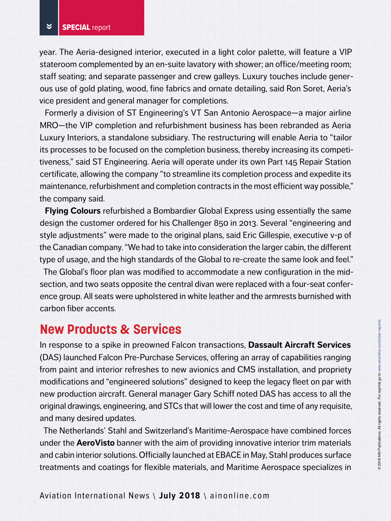year. The Aeria-designed interior, executed in a light color palette, will feature a VIP stateroom complemented by an en-suite lavatory with shower; an office/meeting room; staff seating; and separate passenger and crew galleys. Luxury touches include generous use of gold plating, wood, fine fabrics and ornate detailing, said Ron Soret, Aeria's vice president and general manager for completions.

Formerly a division of ST Engineering's VT San Antonio Aerospace—a major airline MRO—the VIP completion and refurbishment business has been rebranded as Aeria Luxury Interiors, a standalone subsidiary. The restructuring will enable Aeria to "tailor its processes to be focused on the completion business, thereby increasing its competitiveness," said ST Engineering. Aeria will operate under its own Part 145 Repair Station certificate, allowing the company "to streamline its completion process and expedite its maintenance, refurbishment and completion contracts in the most efficient way possible," the company said.

**Flying Colours** refurbished a Bombardier Global Express using essentially the same design the customer ordered for his Challenger 850 in 2013. Several "engineering and style adjustments" were made to the original plans, said Eric Gillespie, executive v-p of the Canadian company. "We had to take into consideration the larger cabin, the different type of usage, and the high standards of the Global to re-create the same look and feel."

The Global's floor plan was modified to accommodate a new configuration in the midsection, and two seats opposite the central divan were replaced with a four-seat conference group. All seats were upholstered in white leather and the armrests burnished with carbon fiber accents.

# **New Products & Services**

In response to a spike in preowned Falcon transactions, **Dassault Aircraft Services** (DAS) launched Falcon Pre-Purchase Services, offering an array of capabilities ranging from paint and interior refreshes to new avionics and CMS installation, and propriety modifications and "engineered solutions" designed to keep the legacy fleet on par with new production aircraft. General manager Gary Schiff noted DAS has access to all the original drawings, engineering, and STCs that will lower the cost and time of any requisite, and many desired updates.

The Netherlands' Stahl and Switzerland's Maritime-Aerospace have combined forces under the **AeroVisto** banner with the aim of providing innovative interior trim materials and cabin interior solutions. Officially launched at EBACE in May, Stahl produces surface treatments and coatings for flexible materials, and Maritime Aerospace specializes in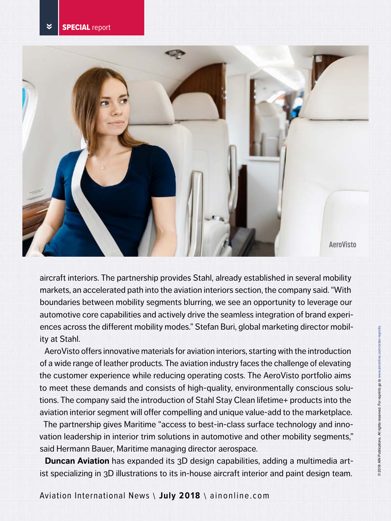

aircraft interiors. The partnership provides Stahl, already established in several mobility markets, an accelerated path into the aviation interiors section, the company said. "With boundaries between mobility segments blurring, we see an opportunity to leverage our automotive core capabilities and actively drive the seamless integration of brand experiences across the different mobility modes." Stefan Buri, global marketing director mobility at Stahl.

AeroVisto offers innovative materials for aviation interiors, starting with the introduction of a wide range of leather products. The aviation industry faces the challenge of elevating the customer experience while reducing operating costs. The AeroVisto portfolio aims to meet these demands and consists of high-quality, environmentally conscious solutions. The company said the introduction of Stahl Stay Clean lifetime+ products into the aviation interior segment will offer compelling and unique value-add to the marketplace.

The partnership gives Maritime "access to best-in-class surface technology and innovation leadership in interior trim solutions in automotive and other mobility segments," said Hermann Bauer, Maritime managing director aerospace.

**Duncan Aviation** has expanded its 3D design capabilities, adding a multimedia artist specializing in 3D illustrations to its in-house aircraft interior and paint design team.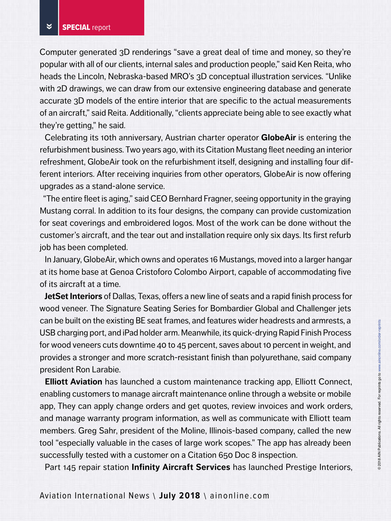Computer generated 3D renderings "save a great deal of time and money, so they're popular with all of our clients, internal sales and production people," said Ken Reita, who heads the Lincoln, Nebraska-based MRO's 3D conceptual illustration services. "Unlike with 2D drawings, we can draw from our extensive engineering database and generate accurate 3D models of the entire interior that are specific to the actual measurements of an aircraft," said Reita. Additionally, "clients appreciate being able to see exactly what they're getting," he said.

Celebrating its 10th anniversary, Austrian charter operator **GlobeAir** is entering the refurbishment business. Two years ago, with its Citation Mustang fleet needing an interior refreshment, GlobeAir took on the refurbishment itself, designing and installing four different interiors. After receiving inquiries from other operators, GlobeAir is now offering upgrades as a stand-alone service.

"The entire fleet is aging," said CEO Bernhard Fragner, seeing opportunity in the graying Mustang corral. In addition to its four designs, the company can provide customization for seat coverings and embroidered logos. Most of the work can be done without the customer's aircraft, and the tear out and installation require only six days. Its first refurb job has been completed.

In January, GlobeAir, which owns and operates 16 Mustangs, moved into a larger hangar at its home base at Genoa Cristoforo Colombo Airport, capable of accommodating five of its aircraft at a time.

**JetSet Interiors** of Dallas, Texas, offers a new line of seats and a rapid finish process for wood veneer. The Signature Seating Series for Bombardier Global and Challenger jets can be built on the existing BE seat frames, and features wider headrests and armrests, a USB charging port, and iPad holder arm. Meanwhile, its quick-drying Rapid Finish Process for wood veneers cuts downtime 40 to 45 percent, saves about 10 percent in weight, and provides a stronger and more scratch-resistant finish than polyurethane, said company president Ron Larabie.

**Elliott Aviation** has launched a custom maintenance tracking app, Elliott Connect, enabling customers to manage aircraft maintenance online through a website or mobile app, They can apply change orders and get quotes, review invoices and work orders, and manage warranty program information, as well as communicate with Elliott team members. Greg Sahr, president of the Moline, Illinois-based company, called the new tool "especially valuable in the cases of large work scopes." The app has already been successfully tested with a customer on a Citation 650 Doc 8 inspection.

Part 145 repair station **Infinity Aircraft Services** has launched Prestige Interiors,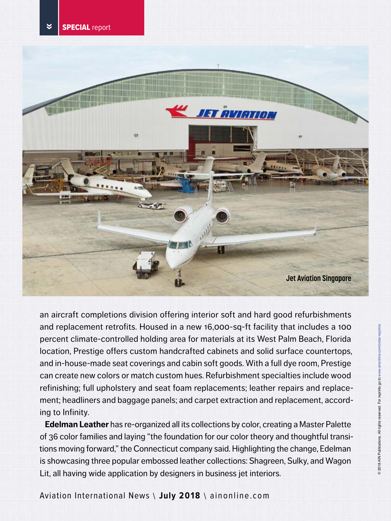



an aircraft completions division offering interior soft and hard good refurbishments and replacement retrofits. Housed in a new 16,000-sq-ft facility that includes a 100 percent climate-controlled holding area for materials at its West Palm Beach, Florida location, Prestige offers custom handcrafted cabinets and solid surface countertops, and in-house-made seat coverings and cabin soft goods. With a full dye room, Prestige can create new colors or match custom hues. Refurbishment specialties include wood refinishing; full upholstery and seat foam replacements; leather repairs and replacement; headliners and baggage panels; and carpet extraction and replacement, according to Infinity.

**Edelman Leather** has re-organized all its collections by color, creating a Master Palette of 36 color families and laying "the foundation for our color theory and thoughtful transitions moving forward," the Connecticut company said. Highlighting the change, Edelman is showcasing three popular embossed leather collections: Shagreen, Sulky, and Wagon Lit, all having wide application by designers in business jet interiors.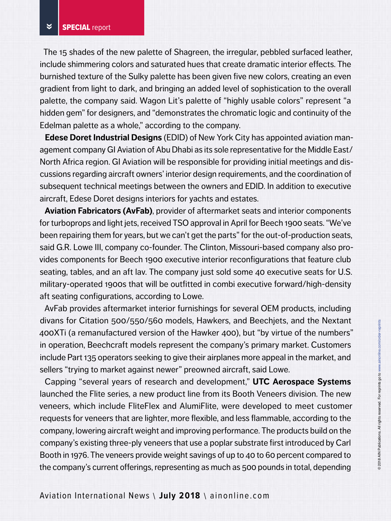The 15 shades of the new palette of Shagreen, the irregular, pebbled surfaced leather, include shimmering colors and saturated hues that create dramatic interior effects. The burnished texture of the Sulky palette has been given five new colors, creating an even gradient from light to dark, and bringing an added level of sophistication to the overall palette, the company said. Wagon Lit's palette of "highly usable colors" represent "a hidden gem" for designers, and "demonstrates the chromatic logic and continuity of the Edelman palette as a whole," according to the company.

**Edese Doret Industrial Designs** (EDID) of New York City has appointed aviation management company GI Aviation of Abu Dhabi as its sole representative for the Middle East/ North Africa region. GI Aviation will be responsible for providing initial meetings and discussions regarding aircraft owners' interior design requirements, and the coordination of subsequent technical meetings between the owners and EDID. In addition to executive aircraft, Edese Doret designs interiors for yachts and estates.

**Aviation Fabricators (AvFab)**, provider of aftermarket seats and interior components for turboprops and light jets, received TSO approval in April for Beech 1900 seats. "We've been repairing them for years, but we can't get the parts" for the out-of-production seats, said G.R. Lowe III, company co-founder. The Clinton, Missouri-based company also provides components for Beech 1900 executive interior reconfigurations that feature club seating, tables, and an aft lav. The company just sold some 40 executive seats for U.S. military-operated 1900s that will be outfitted in combi executive forward/high-density aft seating configurations, according to Lowe.

AvFab provides aftermarket interior furnishings for several OEM products, including divans for Citation 500/550/560 models, Hawkers, and Beechjets, and the Nextant 400XTi (a remanufactured version of the Hawker 400), but "by virtue of the numbers" in operation, Beechcraft models represent the company's primary market. Customers include Part 135 operators seeking to give their airplanes more appeal in the market, and sellers "trying to market against newer" preowned aircraft, said Lowe.

Capping "several years of research and development," **UTC Aerospace Systems**  launched the Flite series, a new product line from its Booth Veneers division. The new veneers, which include FliteFlex and AlumiFlite, were developed to meet customer requests for veneers that are lighter, more flexible, and less flammable, according to the company, lowering aircraft weight and improving performance. The products build on the company's existing three-ply veneers that use a poplar substrate first introduced by Carl Booth in 1976. The veneers provide weight savings of up to 40 to 60 percent compared to the company's current offerings, representing as much as 500 pounds in total, depending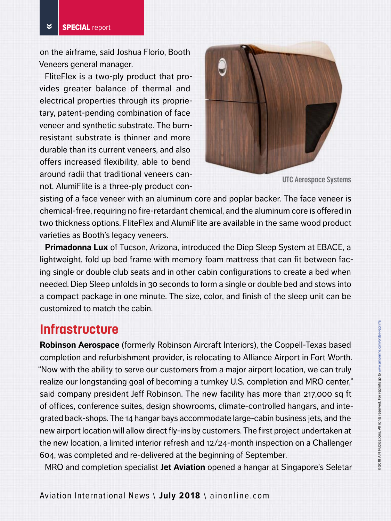on the airframe, said Joshua Florio, Booth Veneers general manager.

FliteFlex is a two-ply product that provides greater balance of thermal and electrical properties through its proprietary, patent-pending combination of face veneer and synthetic substrate. The burnresistant substrate is thinner and more durable than its current veneers, and also offers increased flexibility, able to bend around radii that traditional veneers cannot. AlumiFlite is a three-ply product con-



**UTC Aerospace Systems**

sisting of a face veneer with an aluminum core and poplar backer. The face veneer is chemical-free, requiring no fire-retardant chemical, and the aluminum core is offered in two thickness options. FliteFlex and AlumiFlite are available in the same wood product varieties as Booth's legacy veneers.

**Primadonna Lux** of Tucson, Arizona, introduced the Diep Sleep System at EBACE, a lightweight, fold up bed frame with memory foam mattress that can fit between facing single or double club seats and in other cabin configurations to create a bed when needed. Diep Sleep unfolds in 30 seconds to form a single or double bed and stows into a compact package in one minute. The size, color, and finish of the sleep unit can be customized to match the cabin.

#### **Infrastructure**

**Robinson Aerospace** (formerly Robinson Aircraft Interiors), the Coppell-Texas based completion and refurbishment provider, is relocating to Alliance Airport in Fort Worth. "Now with the ability to serve our customers from a major airport location, we can truly realize our longstanding goal of becoming a turnkey U.S. completion and MRO center," said company president Jeff Robinson. The new facility has more than 217,000 sq ft of offices, conference suites, design showrooms, climate-controlled hangars, and integrated back-shops. The 14 hangar bays accommodate large-cabin business jets, and the new airport location will allow direct fly-ins by customers. The first project undertaken at the new location, a limited interior refresh and 12/24-month inspection on a Challenger 604, was completed and re-delivered at the beginning of September.

MRO and completion specialist **Jet Aviation** opened a hangar at Singapore's Seletar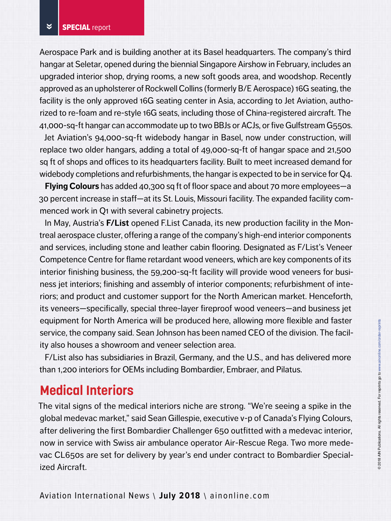Aerospace Park and is building another at its Basel headquarters. The company's third hangar at Seletar, opened during the biennial Singapore Airshow in February, includes an upgraded interior shop, drying rooms, a new soft goods area, and woodshop. Recently approved as an upholsterer of Rockwell Collins (formerly B/E Aerospace) 16G seating, the facility is the only approved 16G seating center in Asia, according to Jet Aviation, authorized to re-foam and re-style 16G seats, including those of China-registered aircraft. The 41,000-sq-ft hangar can accommodate up to two BBJs or ACJs, or five Gulfstream G550s.

Jet Aviation's 94,000-sq-ft widebody hangar in Basel, now under construction, will replace two older hangars, adding a total of 49,000-sq-ft of hangar space and 21,500 sq ft of shops and offices to its headquarters facility. Built to meet increased demand for widebody completions and refurbishments, the hangar is expected to be in service for Q4.

**Flying Colours** has added 40,300 sq ft of floor space and about 70 more employees—a 30 percent increase in staff—at its St. Louis, Missouri facility. The expanded facility commenced work in Q1 with several cabinetry projects.

In May, Austria's **F/List** opened F.List Canada, its new production facility in the Montreal aerospace cluster, offering a range of the company's high-end interior components and services, including stone and leather cabin flooring. Designated as F/List's Veneer Competence Centre for flame retardant wood veneers, which are key components of its interior finishing business, the 59,200-sq-ft facility will provide wood veneers for business jet interiors; finishing and assembly of interior components; refurbishment of interiors; and product and customer support for the North American market. Henceforth, its veneers—specifically, special three-layer fireproof wood veneers—and business jet equipment for North America will be produced here, allowing more flexible and faster service, the company said. Sean Johnson has been named CEO of the division. The facility also houses a showroom and veneer selection area.

F/List also has subsidiaries in Brazil, Germany, and the U.S., and has delivered more than 1,200 interiors for OEMs including Bombardier, Embraer, and Pilatus.

# **Medical Interiors**

The vital signs of the medical interiors niche are strong. "We're seeing a spike in the global medevac market," said Sean Gillespie, executive v-p of Canada's Flying Colours, after delivering the first Bombardier Challenger 650 outfitted with a medevac interior, now in service with Swiss air ambulance operator Air-Rescue Rega. Two more medevac CL650s are set for delivery by year's end under contract to Bombardier Specialized Aircraft.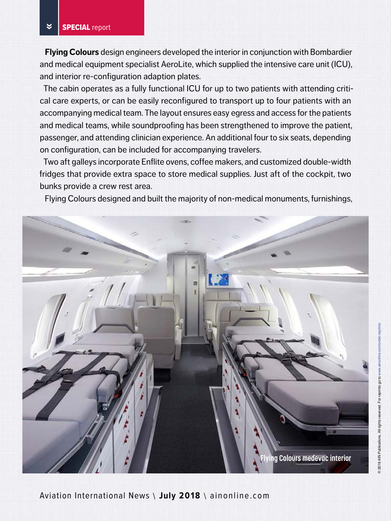**Flying Colours** design engineers developed the interior in conjunction with Bombardier and medical equipment specialist AeroLite, which supplied the intensive care unit (ICU), and interior re-configuration adaption plates.

The cabin operates as a fully functional ICU for up to two patients with attending critical care experts, or can be easily reconfigured to transport up to four patients with an accompanying medical team. The layout ensures easy egress and access for the patients and medical teams, while soundproofing has been strengthened to improve the patient, passenger, and attending clinician experience. An additional four to six seats, depending on configuration, can be included for accompanying travelers.

Two aft galleys incorporate Enflite ovens, coffee makers, and customized double-width fridges that provide extra space to store medical supplies. Just aft of the cockpit, two bunks provide a crew rest area.

Flying Colours designed and built the majority of non-medical monuments, furnishings,

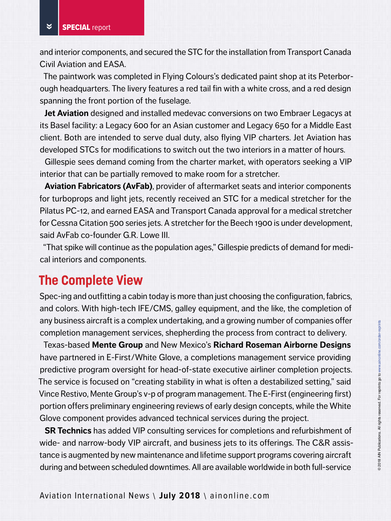and interior components, and secured the STC for the installation from Transport Canada Civil Aviation and EASA.

The paintwork was completed in Flying Colours's dedicated paint shop at its Peterborough headquarters. The livery features a red tail fin with a white cross, and a red design spanning the front portion of the fuselage.

**Jet Aviation** designed and installed medevac conversions on two Embraer Legacys at its Basel facility: a Legacy 600 for an Asian customer and Legacy 650 for a Middle East client. Both are intended to serve dual duty, also flying VIP charters. Jet Aviation has developed STCs for modifications to switch out the two interiors in a matter of hours.

Gillespie sees demand coming from the charter market, with operators seeking a VIP interior that can be partially removed to make room for a stretcher.

**Aviation Fabricators (AvFab)**, provider of aftermarket seats and interior components for turboprops and light jets, recently received an STC for a medical stretcher for the Pilatus PC-12, and earned EASA and Transport Canada approval for a medical stretcher for Cessna Citation 500 series jets. A stretcher for the Beech 1900 is under development, said AvFab co-founder G.R. Lowe III.

"That spike will continue as the population ages," Gillespie predicts of demand for medical interiors and components.

# **The Complete View**

Spec-ing and outfitting a cabin today is more than just choosing the configuration, fabrics, and colors. With high-tech IFE/CMS, galley equipment, and the like, the completion of any business aircraft is a complex undertaking, and a growing number of companies offer completion management services, shepherding the process from contract to delivery.

Texas-based **Mente Group** and New Mexico's **Richard Roseman Airborne Designs** have partnered in E-First/White Glove, a completions management service providing predictive program oversight for head-of-state executive airliner completion projects. The service is focused on "creating stability in what is often a destabilized setting," said Vince Restivo, Mente Group's v-p of program management. The E-First (engineering first) portion offers preliminary engineering reviews of early design concepts, while the White Glove component provides advanced technical services during the project.

**SR Technics** has added VIP consulting services for completions and refurbishment of wide- and narrow-body VIP aircraft, and business jets to its offerings. The C&R assistance is augmented by new maintenance and lifetime support programs covering aircraft during and between scheduled downtimes. All are available worldwide in both full-service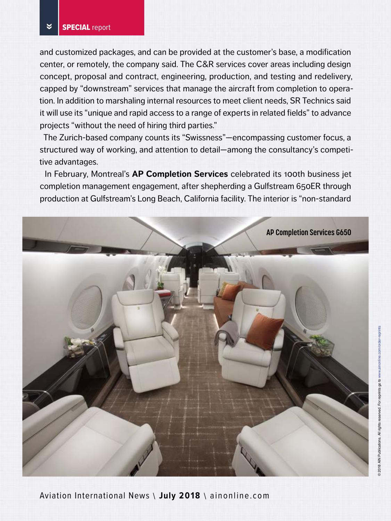and customized packages, and can be provided at the customer's base, a modification center, or remotely, the company said. The C&R services cover areas including design concept, proposal and contract, engineering, production, and testing and redelivery, capped by "downstream" services that manage the aircraft from completion to operation. In addition to marshaling internal resources to meet client needs, SR Technics said it will use its "unique and rapid access to a range of experts in related fields" to advance projects "without the need of hiring third parties."

The Zurich-based company counts its "Swissness"—encompassing customer focus, a structured way of working, and attention to detail—among the consultancy's competitive advantages.

In February, Montreal's **AP Completion Services** celebrated its 100th business jet completion management engagement, after shepherding a Gulfstream 650ER through production at Gulfstream's Long Beach, California facility. The interior is "non-standard

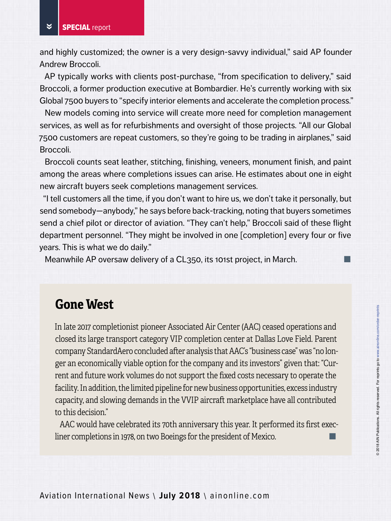and highly customized; the owner is a very design-savvy individual," said AP founder Andrew Broccoli.

AP typically works with clients post-purchase, "from specification to delivery," said Broccoli, a former production executive at Bombardier. He's currently working with six Global 7500 buyers to "specify interior elements and accelerate the completion process."

New models coming into service will create more need for completion management services, as well as for refurbishments and oversight of those projects. "All our Global 7500 customers are repeat customers, so they're going to be trading in airplanes," said Broccoli.

Broccoli counts seat leather, stitching, finishing, veneers, monument finish, and paint among the areas where completions issues can arise. He estimates about one in eight new aircraft buyers seek completions management services.

"I tell customers all the time, if you don't want to hire us, we don't take it personally, but send somebody—anybody," he says before back-tracking, noting that buyers sometimes send a chief pilot or director of aviation. "They can't help," Broccoli said of these flight department personnel. "They might be involved in one [completion] every four or five years. This is what we do daily."

Meanwhile AP oversaw delivery of a CL350, its 101st project, in March.

# **Gone West**

In late 2017 completionist pioneer Associated Air Center (AAC) ceased operations and closed its large transport category VIP completion center at Dallas Love Field. Parent company StandardAero concluded after analysis that AAC's "business case" was "no longer an economically viable option for the company and its investors" given that: "Current and future work volumes do not support the fixed costs necessary to operate the facility. In addition, the limited pipeline for new business opportunities, excess industry capacity, and slowing demands in the VVIP aircraft marketplace have all contributed to this decision."

AAC would have celebrated its 70th anniversary this year. It performed its first execliner completions in 1978, on two Boeings for the president of Mexico.